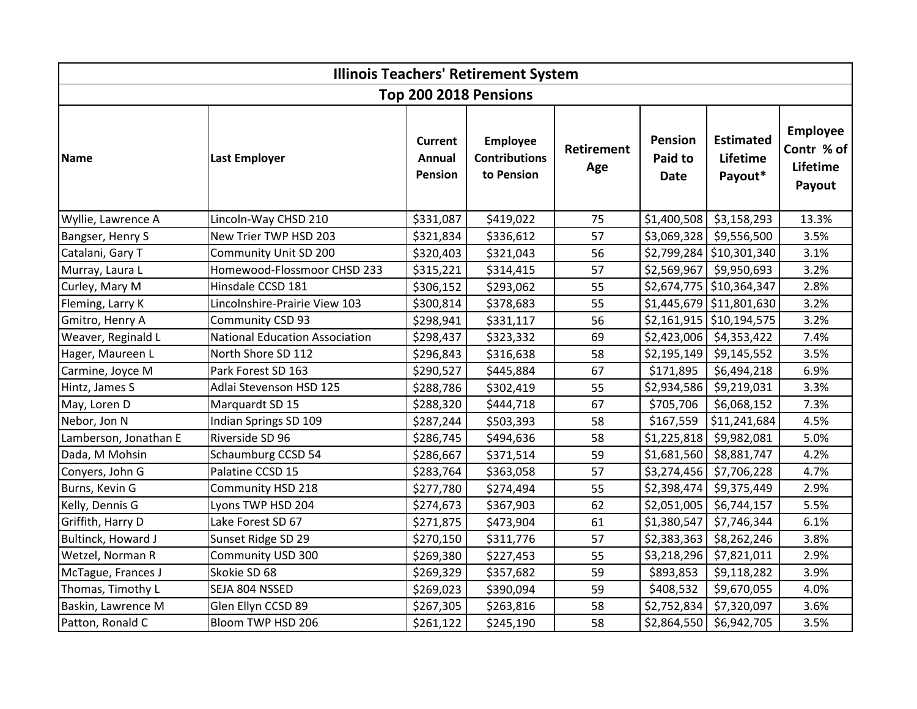| <b>Illinois Teachers' Retirement System</b> |                                       |                                            |                                                       |                          |                                   |                                         |                                                     |  |  |  |
|---------------------------------------------|---------------------------------------|--------------------------------------------|-------------------------------------------------------|--------------------------|-----------------------------------|-----------------------------------------|-----------------------------------------------------|--|--|--|
| Top 200 2018 Pensions                       |                                       |                                            |                                                       |                          |                                   |                                         |                                                     |  |  |  |
| Name                                        | <b>Last Employer</b>                  | <b>Current</b><br>Annual<br><b>Pension</b> | <b>Employee</b><br><b>Contributions</b><br>to Pension | <b>Retirement</b><br>Age | <b>Pension</b><br>Paid to<br>Date | <b>Estimated</b><br>Lifetime<br>Payout* | <b>Employee</b><br>Contr % of<br>Lifetime<br>Payout |  |  |  |
| Wyllie, Lawrence A                          | Lincoln-Way CHSD 210                  | \$331,087                                  | \$419,022                                             | 75                       | \$1,400,508                       | \$3,158,293                             | 13.3%                                               |  |  |  |
| Bangser, Henry S                            | New Trier TWP HSD 203                 | \$321,834                                  | \$336,612                                             | 57                       |                                   | \$3,069,328 \$9,556,500                 | 3.5%                                                |  |  |  |
| Catalani, Gary T                            | Community Unit SD 200                 | \$320,403                                  | \$321,043                                             | 56                       |                                   | $$2,799,284$ $$10,301,340$              | 3.1%                                                |  |  |  |
| Murray, Laura L                             | Homewood-Flossmoor CHSD 233           | \$315,221                                  | \$314,415                                             | 57                       |                                   | $$2,569,967$ \$9,950,693                | 3.2%                                                |  |  |  |
| Curley, Mary M                              | Hinsdale CCSD 181                     | \$306,152                                  | \$293,062                                             | 55                       |                                   | $$2,674,775$ $$10,364,347$              | 2.8%                                                |  |  |  |
| Fleming, Larry K                            | Lincolnshire-Prairie View 103         | \$300,814                                  | \$378,683                                             | 55                       |                                   | $$1,445,679$ $$11,801,630$              | 3.2%                                                |  |  |  |
| Gmitro, Henry A                             | Community CSD 93                      | \$298,941                                  | \$331,117                                             | 56                       |                                   | $$2,161,915$ $$10,194,575$              | 3.2%                                                |  |  |  |
| Weaver, Reginald L                          | <b>National Education Association</b> | \$298,437                                  | \$323,332                                             | 69                       |                                   | $$2,423,006$ $$4,353,422$               | 7.4%                                                |  |  |  |
| Hager, Maureen L                            | North Shore SD 112                    | \$296,843                                  | \$316,638                                             | 58                       | \$2,195,149                       | \$9,145,552                             | 3.5%                                                |  |  |  |
| Carmine, Joyce M                            | Park Forest SD 163                    | \$290,527                                  | \$445,884                                             | 67                       | \$171,895                         | \$6,494,218                             | 6.9%                                                |  |  |  |
| Hintz, James S                              | Adlai Stevenson HSD 125               | \$288,786                                  | \$302,419                                             | 55                       | \$2,934,586                       | \$9,219,031                             | 3.3%                                                |  |  |  |
| May, Loren D                                | Marquardt SD 15                       | \$288,320                                  | \$444,718                                             | 67                       | \$705,706                         | \$6,068,152                             | 7.3%                                                |  |  |  |
| Nebor, Jon N                                | Indian Springs SD 109                 | \$287,244                                  | \$503,393                                             | 58                       | \$167,559                         | \$11,241,684                            | 4.5%                                                |  |  |  |
| Lamberson, Jonathan E                       | Riverside SD 96                       | \$286,745                                  | \$494,636                                             | 58                       | \$1,225,818                       | \$9,982,081                             | 5.0%                                                |  |  |  |
| Dada, M Mohsin                              | Schaumburg CCSD 54                    | \$286,667                                  | \$371,514                                             | 59                       | \$1,681,560                       | \$8,881,747                             | 4.2%                                                |  |  |  |
| Conyers, John G                             | Palatine CCSD 15                      | \$283,764                                  | \$363,058                                             | 57                       | \$3,274,456                       | \$7,706,228                             | 4.7%                                                |  |  |  |
| Burns, Kevin G                              | Community HSD 218                     | \$277,780                                  | \$274,494                                             | 55                       | \$2,398,474                       | \$9,375,449                             | 2.9%                                                |  |  |  |
| Kelly, Dennis G                             | Lyons TWP HSD 204                     | \$274,673                                  | \$367,903                                             | 62                       | \$2,051,005                       | \$6,744,157                             | 5.5%                                                |  |  |  |
| Griffith, Harry D                           | Lake Forest SD 67                     | \$271,875                                  | \$473,904                                             | 61                       | \$1,380,547                       | \$7,746,344                             | 6.1%                                                |  |  |  |
| Bultinck, Howard J                          | Sunset Ridge SD 29                    | \$270,150                                  | \$311,776                                             | 57                       | \$2,383,363                       | \$8,262,246                             | 3.8%                                                |  |  |  |
| Wetzel, Norman R                            | Community USD 300                     | \$269,380                                  | \$227,453                                             | 55                       | \$3,218,296                       | \$7,821,011                             | 2.9%                                                |  |  |  |
| McTague, Frances J                          | Skokie SD 68                          | \$269,329                                  | \$357,682                                             | 59                       | \$893,853                         | \$9,118,282                             | 3.9%                                                |  |  |  |
| Thomas, Timothy L                           | SEJA 804 NSSED                        | \$269,023                                  | \$390,094                                             | 59                       | \$408,532                         | \$9,670,055                             | 4.0%                                                |  |  |  |
| Baskin, Lawrence M                          | Glen Ellyn CCSD 89                    | \$267,305                                  | \$263,816                                             | 58                       | \$2,752,834                       | \$7,320,097                             | 3.6%                                                |  |  |  |
| Patton, Ronald C                            | Bloom TWP HSD 206                     | \$261,122                                  | \$245,190                                             | 58                       | \$2,864,550                       | \$6,942,705                             | 3.5%                                                |  |  |  |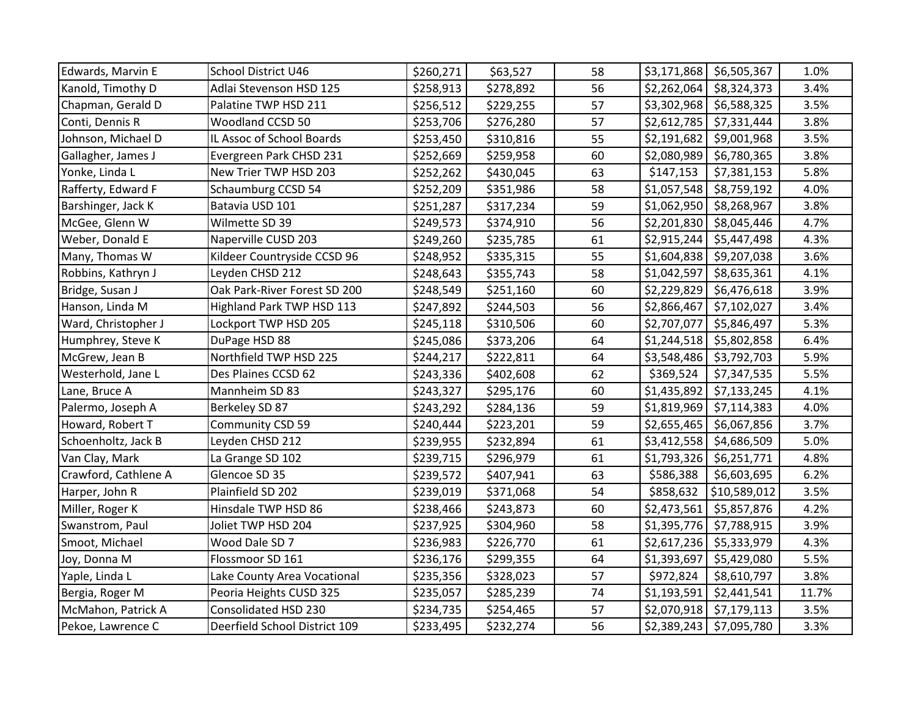| Edwards, Marvin E    | School District U46           | \$260,271 | \$63,527  | 58 | \$3,171,868               | \$6,505,367  | 1.0%  |
|----------------------|-------------------------------|-----------|-----------|----|---------------------------|--------------|-------|
| Kanold, Timothy D    | Adlai Stevenson HSD 125       | \$258,913 | \$278,892 | 56 | \$2,262,064               | \$8,324,373  | 3.4%  |
| Chapman, Gerald D    | Palatine TWP HSD 211          | \$256,512 | \$229,255 | 57 | \$3,302,968               | \$6,588,325  | 3.5%  |
| Conti, Dennis R      | <b>Woodland CCSD 50</b>       | \$253,706 | \$276,280 | 57 | \$2,612,785               | \$7,331,444  | 3.8%  |
| Johnson, Michael D   | IL Assoc of School Boards     | \$253,450 | \$310,816 | 55 | \$2,191,682               | \$9,001,968  | 3.5%  |
| Gallagher, James J   | Evergreen Park CHSD 231       | \$252,669 | \$259,958 | 60 | \$2,080,989               | \$6,780,365  | 3.8%  |
| Yonke, Linda L       | New Trier TWP HSD 203         | \$252,262 | \$430,045 | 63 | \$147,153                 | \$7,381,153  | 5.8%  |
| Rafferty, Edward F   | Schaumburg CCSD 54            | \$252,209 | \$351,986 | 58 | \$1,057,548               | \$8,759,192  | 4.0%  |
| Barshinger, Jack K   | Batavia USD 101               | \$251,287 | \$317,234 | 59 | \$1,062,950               | \$8,268,967  | 3.8%  |
| McGee, Glenn W       | Wilmette SD 39                | \$249,573 | \$374,910 | 56 | \$2,201,830               | \$8,045,446  | 4.7%  |
| Weber, Donald E      | Naperville CUSD 203           | \$249,260 | \$235,785 | 61 | \$2,915,244               | \$5,447,498  | 4.3%  |
| Many, Thomas W       | Kildeer Countryside CCSD 96   | \$248,952 | \$335,315 | 55 | \$1,604,838               | \$9,207,038  | 3.6%  |
| Robbins, Kathryn J   | Leyden CHSD 212               | \$248,643 | \$355,743 | 58 | \$1,042,597               | \$8,635,361  | 4.1%  |
| Bridge, Susan J      | Oak Park-River Forest SD 200  | \$248,549 | \$251,160 | 60 | \$2,229,829               | \$6,476,618  | 3.9%  |
| Hanson, Linda M      | Highland Park TWP HSD 113     | \$247,892 | \$244,503 | 56 | \$2,866,467               | \$7,102,027  | 3.4%  |
| Ward, Christopher J  | Lockport TWP HSD 205          | \$245,118 | \$310,506 | 60 | \$2,707,077               | \$5,846,497  | 5.3%  |
| Humphrey, Steve K    | DuPage HSD 88                 | \$245,086 | \$373,206 | 64 | \$1,244,518               | \$5,802,858  | 6.4%  |
| McGrew, Jean B       | Northfield TWP HSD 225        | \$244,217 | \$222,811 | 64 | \$3,548,486               | \$3,792,703  | 5.9%  |
| Westerhold, Jane L   | Des Plaines CCSD 62           | \$243,336 | \$402,608 | 62 | \$369,524                 | \$7,347,535  | 5.5%  |
| Lane, Bruce A        | Mannheim SD 83                | \$243,327 | \$295,176 | 60 | \$1,435,892               | \$7,133,245  | 4.1%  |
| Palermo, Joseph A    | Berkeley SD 87                | \$243,292 | \$284,136 | 59 | \$1,819,969               | \$7,114,383  | 4.0%  |
| Howard, Robert T     | Community CSD 59              | \$240,444 | \$223,201 | 59 | \$2,655,465               | \$6,067,856  | 3.7%  |
| Schoenholtz, Jack B  | Leyden CHSD 212               | \$239,955 | \$232,894 | 61 | \$3,412,558               | \$4,686,509  | 5.0%  |
| Van Clay, Mark       | La Grange SD 102              | \$239,715 | \$296,979 | 61 | \$1,793,326               | \$6,251,771  | 4.8%  |
| Crawford, Cathlene A | Glencoe SD 35                 | \$239,572 | \$407,941 | 63 | \$586,388                 | \$6,603,695  | 6.2%  |
| Harper, John R       | Plainfield SD 202             | \$239,019 | \$371,068 | 54 | \$858,632                 | \$10,589,012 | 3.5%  |
| Miller, Roger K      | Hinsdale TWP HSD 86           | \$238,466 | \$243,873 | 60 | \$2,473,561               | \$5,857,876  | 4.2%  |
| Swanstrom, Paul      | Joliet TWP HSD 204            | \$237,925 | \$304,960 | 58 | \$1,395,776               | \$7,788,915  | 3.9%  |
| Smoot, Michael       | Wood Dale SD 7                | \$236,983 | \$226,770 | 61 | \$2,617,236               | \$5,333,979  | 4.3%  |
| Joy, Donna M         | Flossmoor SD 161              | \$236,176 | \$299,355 | 64 | \$1,393,697               | \$5,429,080  | 5.5%  |
| Yaple, Linda L       | Lake County Area Vocational   | \$235,356 | \$328,023 | 57 | \$972,824                 | \$8,610,797  | 3.8%  |
| Bergia, Roger M      | Peoria Heights CUSD 325       | \$235,057 | \$285,239 | 74 | \$1,193,591               | \$2,441,541  | 11.7% |
| McMahon, Patrick A   | Consolidated HSD 230          | \$234,735 | \$254,465 | 57 | \$2,070,918               | \$7,179,113  | 3.5%  |
| Pekoe, Lawrence C    | Deerfield School District 109 | \$233,495 | \$232,274 | 56 | \$2,389,243   \$7,095,780 |              | 3.3%  |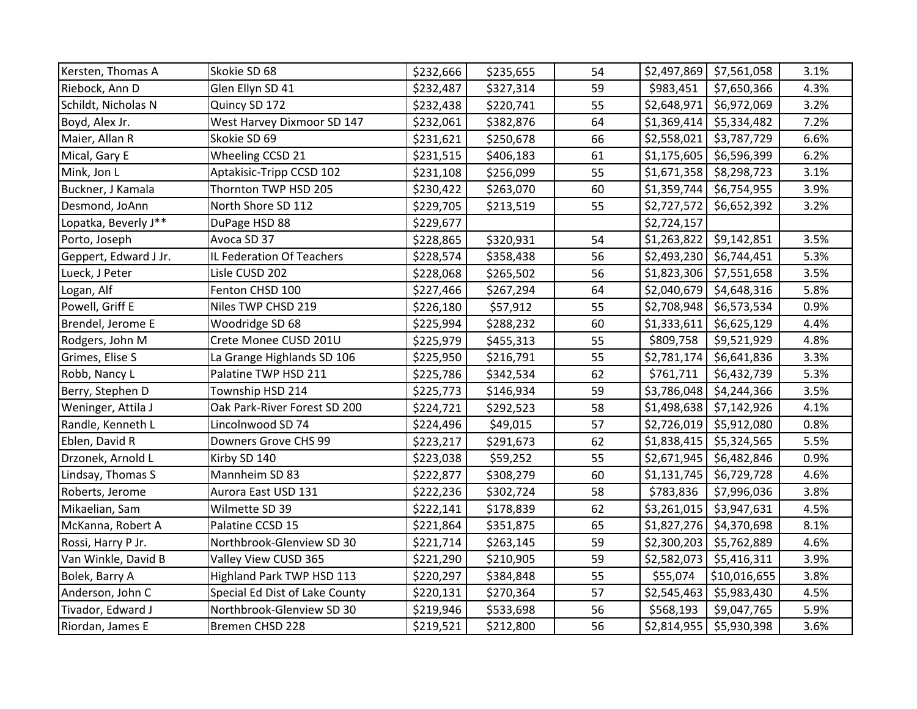| Kersten, Thomas A     | Skokie SD 68                   | \$232,666 | \$235,655 | 54 |             | $$2,497,869$ $$7,561,058$ | 3.1% |
|-----------------------|--------------------------------|-----------|-----------|----|-------------|---------------------------|------|
| Riebock, Ann D        | Glen Ellyn SD 41               | \$232,487 | \$327,314 | 59 | \$983,451   | \$7,650,366               | 4.3% |
| Schildt, Nicholas N   | Quincy SD 172                  | \$232,438 | \$220,741 | 55 | \$2,648,971 | \$6,972,069               | 3.2% |
| Boyd, Alex Jr.        | West Harvey Dixmoor SD 147     | \$232,061 | \$382,876 | 64 |             | $$1,369,414$ $$5,334,482$ | 7.2% |
| Maier, Allan R        | Skokie SD 69                   | \$231,621 | \$250,678 | 66 | \$2,558,021 | \$3,787,729               | 6.6% |
| Mical, Gary E         | Wheeling CCSD 21               | \$231,515 | \$406,183 | 61 |             | $$1,175,605$ \$6,596,399  | 6.2% |
| Mink, Jon L           | Aptakisic-Tripp CCSD 102       | \$231,108 | \$256,099 | 55 |             | $$1,671,358$ \$8,298,723  | 3.1% |
| Buckner, J Kamala     | Thornton TWP HSD 205           | \$230,422 | \$263,070 | 60 |             | \$1,359,744 \$6,754,955   | 3.9% |
| Desmond, JoAnn        | North Shore SD 112             | \$229,705 | \$213,519 | 55 | \$2,727,572 | \$6,652,392               | 3.2% |
| Lopatka, Beverly J**  | DuPage HSD 88                  | \$229,677 |           |    | \$2,724,157 |                           |      |
| Porto, Joseph         | Avoca SD 37                    | \$228,865 | \$320,931 | 54 |             | $$1,263,822$ $$9,142,851$ | 3.5% |
| Geppert, Edward J Jr. | IL Federation Of Teachers      | \$228,574 | \$358,438 | 56 |             | $$2,493,230$ $$6,744,451$ | 5.3% |
| Lueck, J Peter        | Lisle CUSD 202                 | \$228,068 | \$265,502 | 56 |             | $$1,823,306$ $$7,551,658$ | 3.5% |
| Logan, Alf            | Fenton CHSD 100                | \$227,466 | \$267,294 | 64 |             | $$2,040,679$ \$4,648,316  | 5.8% |
| Powell, Griff E       | Niles TWP CHSD 219             | \$226,180 | \$57,912  | 55 |             | \$2,708,948 \$6,573,534   | 0.9% |
| Brendel, Jerome E     | Woodridge SD 68                | \$225,994 | \$288,232 | 60 | \$1,333,611 | \$6,625,129               | 4.4% |
| Rodgers, John M       | Crete Monee CUSD 201U          | \$225,979 | \$455,313 | 55 | \$809,758   | \$9,521,929               | 4.8% |
| Grimes, Elise S       | La Grange Highlands SD 106     | \$225,950 | \$216,791 | 55 | \$2,781,174 | \$6,641,836               | 3.3% |
| Robb, Nancy L         | Palatine TWP HSD 211           | \$225,786 | \$342,534 | 62 | \$761,711   | \$6,432,739               | 5.3% |
| Berry, Stephen D      | Township HSD 214               | \$225,773 | \$146,934 | 59 |             | \$3,786,048   \$4,244,366 | 3.5% |
| Weninger, Attila J    | Oak Park-River Forest SD 200   | \$224,721 | \$292,523 | 58 |             | $$1,498,638$ $$7,142,926$ | 4.1% |
| Randle, Kenneth L     | Lincolnwood SD 74              | \$224,496 | \$49,015  | 57 |             | $$2,726,019$ \$5,912,080  | 0.8% |
| Eblen, David R        | Downers Grove CHS 99           | \$223,217 | \$291,673 | 62 |             | $$1,838,415$ $$5,324,565$ | 5.5% |
| Drzonek, Arnold L     | Kirby SD 140                   | \$223,038 | \$59,252  | 55 |             | $$2,671,945$ \$6,482,846  | 0.9% |
| Lindsay, Thomas S     | Mannheim SD 83                 | \$222,877 | \$308,279 | 60 |             | $$1,131,745$ \$6,729,728  | 4.6% |
| Roberts, Jerome       | Aurora East USD 131            | \$222,236 | \$302,724 | 58 | \$783,836   | \$7,996,036               | 3.8% |
| Mikaelian, Sam        | Wilmette SD 39                 | \$222,141 | \$178,839 | 62 |             | $$3,261,015$ $$3,947,631$ | 4.5% |
| McKanna, Robert A     | Palatine CCSD 15               | \$221,864 | \$351,875 | 65 |             | $$1,827,276$ $$4,370,698$ | 8.1% |
| Rossi, Harry P Jr.    | Northbrook-Glenview SD 30      | \$221,714 | \$263,145 | 59 |             | \$2,300,203 \$5,762,889   | 4.6% |
| Van Winkle, David B   | Valley View CUSD 365           | \$221,290 | \$210,905 | 59 | \$2,582,073 | \$5,416,311               | 3.9% |
| Bolek, Barry A        | Highland Park TWP HSD 113      | \$220,297 | \$384,848 | 55 | \$55,074    | \$10,016,655              | 3.8% |
| Anderson, John C      | Special Ed Dist of Lake County | \$220,131 | \$270,364 | 57 | \$2,545,463 | \$5,983,430               | 4.5% |
| Tivador, Edward J     | Northbrook-Glenview SD 30      | \$219,946 | \$533,698 | 56 | \$568,193   | \$9,047,765               | 5.9% |
| Riordan, James E      | Bremen CHSD 228                | \$219,521 | \$212,800 | 56 | \$2,814,955 | \$5,930,398               | 3.6% |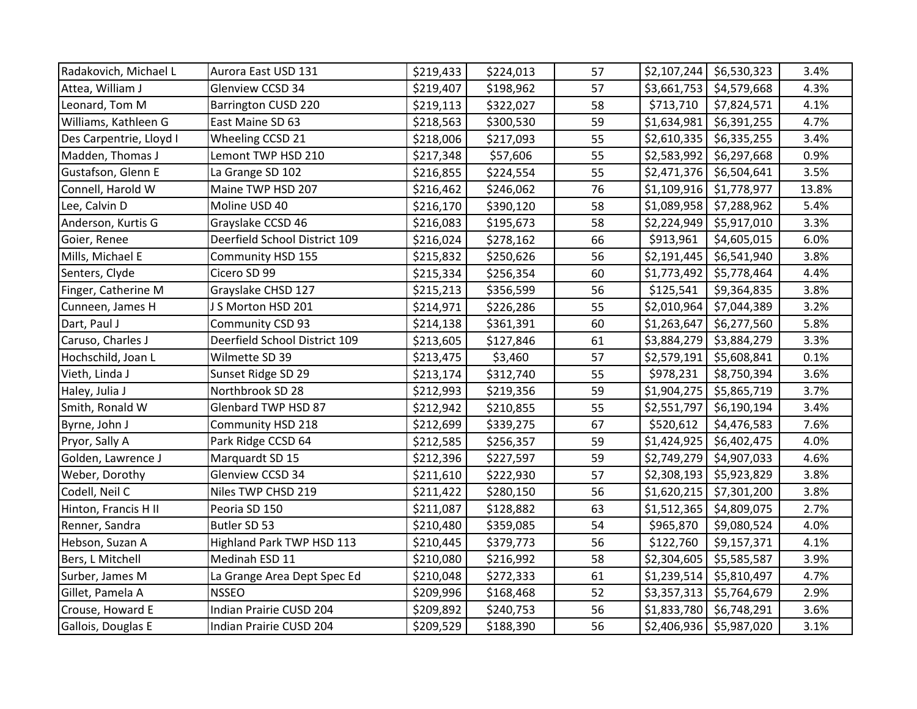| Radakovich, Michael L   | Aurora East USD 131           | \$219,433 | \$224,013 | 57 | \$2,107,244 | \$6,530,323             | 3.4%  |
|-------------------------|-------------------------------|-----------|-----------|----|-------------|-------------------------|-------|
| Attea, William J        | Glenview CCSD 34              | \$219,407 | \$198,962 | 57 | \$3,661,753 | \$4,579,668             | 4.3%  |
| Leonard, Tom M          | <b>Barrington CUSD 220</b>    | \$219,113 | \$322,027 | 58 | \$713,710   | \$7,824,571             | 4.1%  |
| Williams, Kathleen G    | East Maine SD 63              | \$218,563 | \$300,530 | 59 | \$1,634,981 | \$6,391,255             | 4.7%  |
| Des Carpentrie, Lloyd I | Wheeling CCSD 21              | \$218,006 | \$217,093 | 55 | \$2,610,335 | \$6,335,255             | 3.4%  |
| Madden, Thomas J        | Lemont TWP HSD 210            | \$217,348 | \$57,606  | 55 | \$2,583,992 | \$6,297,668             | 0.9%  |
| Gustafson, Glenn E      | La Grange SD 102              | \$216,855 | \$224,554 | 55 | \$2,471,376 | \$6,504,641             | 3.5%  |
| Connell, Harold W       | Maine TWP HSD 207             | \$216,462 | \$246,062 | 76 | \$1,109,916 | \$1,778,977             | 13.8% |
| Lee, Calvin D           | Moline USD 40                 | \$216,170 | \$390,120 | 58 | \$1,089,958 | \$7,288,962             | 5.4%  |
| Anderson, Kurtis G      | Grayslake CCSD 46             | \$216,083 | \$195,673 | 58 | \$2,224,949 | \$5,917,010             | 3.3%  |
| Goier, Renee            | Deerfield School District 109 | \$216,024 | \$278,162 | 66 | \$913,961   | \$4,605,015             | 6.0%  |
| Mills, Michael E        | Community HSD 155             | \$215,832 | \$250,626 | 56 | \$2,191,445 | \$6,541,940             | 3.8%  |
| Senters, Clyde          | Cicero SD 99                  | \$215,334 | \$256,354 | 60 | \$1,773,492 | \$5,778,464             | 4.4%  |
| Finger, Catherine M     | Grayslake CHSD 127            | \$215,213 | \$356,599 | 56 | \$125,541   | \$9,364,835             | 3.8%  |
| Cunneen, James H        | S Morton HSD 201              | \$214,971 | \$226,286 | 55 | \$2,010,964 | \$7,044,389             | 3.2%  |
| Dart, Paul J            | Community CSD 93              | \$214,138 | \$361,391 | 60 | \$1,263,647 | \$6,277,560             | 5.8%  |
| Caruso, Charles J       | Deerfield School District 109 | \$213,605 | \$127,846 | 61 | \$3,884,279 | \$3,884,279             | 3.3%  |
| Hochschild, Joan L      | Wilmette SD 39                | \$213,475 | \$3,460   | 57 | \$2,579,191 | \$5,608,841             | 0.1%  |
| Vieth, Linda J          | Sunset Ridge SD 29            | \$213,174 | \$312,740 | 55 | \$978,231   | \$8,750,394             | 3.6%  |
| Haley, Julia J          | Northbrook SD 28              | \$212,993 | \$219,356 | 59 | \$1,904,275 | \$5,865,719             | 3.7%  |
| Smith, Ronald W         | Glenbard TWP HSD 87           | \$212,942 | \$210,855 | 55 | \$2,551,797 | \$6,190,194             | 3.4%  |
| Byrne, John J           | Community HSD 218             | \$212,699 | \$339,275 | 67 | \$520,612   | \$4,476,583             | 7.6%  |
| Pryor, Sally A          | Park Ridge CCSD 64            | \$212,585 | \$256,357 | 59 | \$1,424,925 | \$6,402,475             | 4.0%  |
| Golden, Lawrence J      | Marquardt SD 15               | \$212,396 | \$227,597 | 59 | \$2,749,279 | \$4,907,033             | 4.6%  |
| Weber, Dorothy          | Glenview CCSD 34              | \$211,610 | \$222,930 | 57 | \$2,308,193 | \$5,923,829             | 3.8%  |
| Codell, Neil C          | Niles TWP CHSD 219            | \$211,422 | \$280,150 | 56 | \$1,620,215 | \$7,301,200             | 3.8%  |
| Hinton, Francis H II    | Peoria SD 150                 | \$211,087 | \$128,882 | 63 | \$1,512,365 | \$4,809,075             | 2.7%  |
| Renner, Sandra          | Butler SD 53                  | \$210,480 | \$359,085 | 54 | \$965,870   | \$9,080,524             | 4.0%  |
| Hebson, Suzan A         | Highland Park TWP HSD 113     | \$210,445 | \$379,773 | 56 | \$122,760   | \$9,157,371             | 4.1%  |
| Bers, L Mitchell        | Medinah ESD 11                | \$210,080 | \$216,992 | 58 | \$2,304,605 | \$5,585,587             | 3.9%  |
| Surber, James M         | La Grange Area Dept Spec Ed   | \$210,048 | \$272,333 | 61 | \$1,239,514 | \$5,810,497             | 4.7%  |
| Gillet, Pamela A        | <b>NSSEO</b>                  | \$209,996 | \$168,468 | 52 | \$3,357,313 | \$5,764,679             | 2.9%  |
| Crouse, Howard E        | Indian Prairie CUSD 204       | \$209,892 | \$240,753 | 56 | \$1,833,780 | \$6,748,291             | 3.6%  |
| Gallois, Douglas E      | Indian Prairie CUSD 204       | \$209,529 | \$188,390 | 56 |             | \$2,406,936 \$5,987,020 | 3.1%  |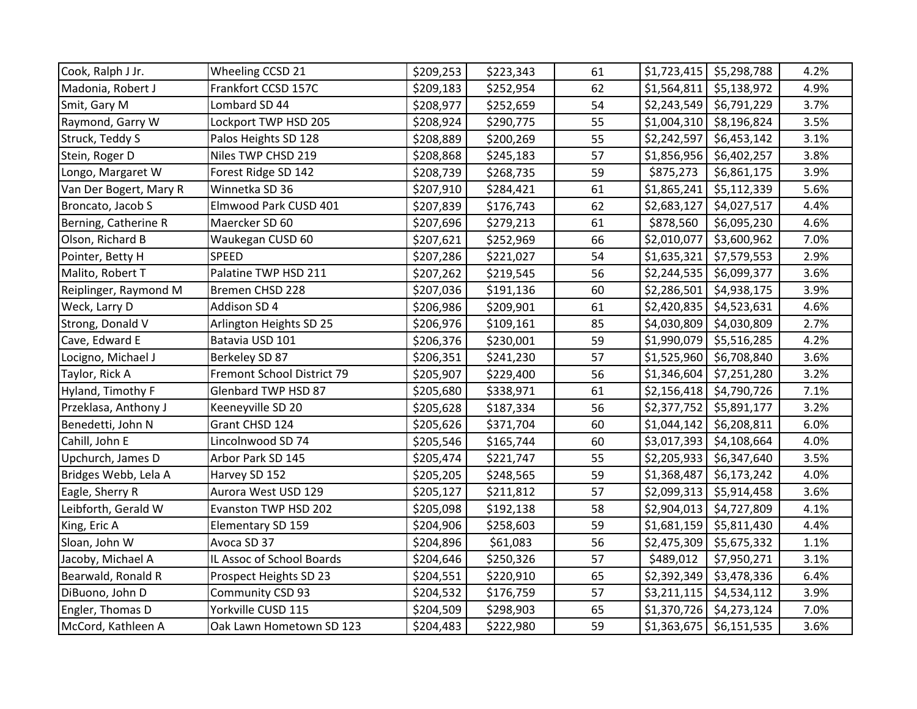| Cook, Ralph J Jr.      | Wheeling CCSD 21           | \$209,253 | \$223,343 | 61 |             | $$1,723,415$ \$5,298,788  | 4.2% |
|------------------------|----------------------------|-----------|-----------|----|-------------|---------------------------|------|
| Madonia, Robert J      | Frankfort CCSD 157C        | \$209,183 | \$252,954 | 62 |             | $$1,564,811$ $$5,138,972$ | 4.9% |
| Smit, Gary M           | Lombard SD 44              | \$208,977 | \$252,659 | 54 |             | \$2,243,549 \$6,791,229   | 3.7% |
| Raymond, Garry W       | Lockport TWP HSD 205       | \$208,924 | \$290,775 | 55 |             | $$1,004,310$ $$8,196,824$ | 3.5% |
| Struck, Teddy S        | Palos Heights SD 128       | \$208,889 | \$200,269 | 55 | \$2,242,597 | \$6,453,142               | 3.1% |
| Stein, Roger D         | Niles TWP CHSD 219         | \$208,868 | \$245,183 | 57 |             | $$1,856,956$ \$6,402,257  | 3.8% |
| Longo, Margaret W      | Forest Ridge SD 142        | \$208,739 | \$268,735 | 59 | \$875,273   | \$6,861,175               | 3.9% |
| Van Der Bogert, Mary R | Winnetka SD 36             | \$207,910 | \$284,421 | 61 | \$1,865,241 | \$5,112,339               | 5.6% |
| Broncato, Jacob S      | Elmwood Park CUSD 401      | \$207,839 | \$176,743 | 62 | \$2,683,127 | \$4,027,517               | 4.4% |
| Berning, Catherine R   | Maercker SD 60             | \$207,696 | \$279,213 | 61 | \$878,560   | \$6,095,230               | 4.6% |
| Olson, Richard B       | Waukegan CUSD 60           | \$207,621 | \$252,969 | 66 | \$2,010,077 | \$3,600,962               | 7.0% |
| Pointer, Betty H       | <b>SPEED</b>               | \$207,286 | \$221,027 | 54 |             | $$1,635,321$ $$7,579,553$ | 2.9% |
| Malito, Robert T       | Palatine TWP HSD 211       | \$207,262 | \$219,545 | 56 |             | $$2,244,535$ \$6,099,377  | 3.6% |
| Reiplinger, Raymond M  | Bremen CHSD 228            | \$207,036 | \$191,136 | 60 |             | $$2,286,501$ $$4,938,175$ | 3.9% |
| Weck, Larry D          | Addison SD 4               | \$206,986 | \$209,901 | 61 |             | $$2,420,835$ \$4,523,631  | 4.6% |
| Strong, Donald V       | Arlington Heights SD 25    | \$206,976 | \$109,161 | 85 |             | \$4,030,809 \$4,030,809   | 2.7% |
| Cave, Edward E         | Batavia USD 101            | \$206,376 | \$230,001 | 59 |             | $$1,990,079$ \$5,516,285  | 4.2% |
| Locigno, Michael J     | Berkeley SD 87             | \$206,351 | \$241,230 | 57 |             | \$1,525,960 \$6,708,840   | 3.6% |
| Taylor, Rick A         | Fremont School District 79 | \$205,907 | \$229,400 | 56 |             | \$1,346,604   \$7,251,280 | 3.2% |
| Hyland, Timothy F      | Glenbard TWP HSD 87        | \$205,680 | \$338,971 | 61 |             | $$2,156,418$ $$4,790,726$ | 7.1% |
| Przeklasa, Anthony J   | Keeneyville SD 20          | \$205,628 | \$187,334 | 56 |             | \$2,377,752 \$5,891,177   | 3.2% |
| Benedetti, John N      | Grant CHSD 124             | \$205,626 | \$371,704 | 60 |             | $$1,044,142$ $$6,208,811$ | 6.0% |
| Cahill, John E         | Lincolnwood SD 74          | \$205,546 | \$165,744 | 60 |             | $$3,017,393$ \$4,108,664  | 4.0% |
| Upchurch, James D      | Arbor Park SD 145          | \$205,474 | \$221,747 | 55 |             | $$2,205,933$ \$6,347,640  | 3.5% |
| Bridges Webb, Lela A   | Harvey SD 152              | \$205,205 | \$248,565 | 59 |             | $$1,368,487$ $$6,173,242$ | 4.0% |
| Eagle, Sherry R        | Aurora West USD 129        | \$205,127 | \$211,812 | 57 |             | $$2,099,313$ $$5,914,458$ | 3.6% |
| Leibforth, Gerald W    | Evanston TWP HSD 202       | \$205,098 | \$192,138 | 58 |             | $$2,904,013$ $$4,727,809$ | 4.1% |
| King, Eric A           | Elementary SD 159          | \$204,906 | \$258,603 | 59 |             | $$1,681,159$ \$5,811,430  | 4.4% |
| Sloan, John W          | Avoca SD 37                | \$204,896 | \$61,083  | 56 |             | $$2,475,309$ \$5,675,332  | 1.1% |
| Jacoby, Michael A      | IL Assoc of School Boards  | \$204,646 | \$250,326 | 57 | \$489,012   | \$7,950,271               | 3.1% |
| Bearwald, Ronald R     | Prospect Heights SD 23     | \$204,551 | \$220,910 | 65 | \$2,392,349 | \$3,478,336               | 6.4% |
| DiBuono, John D        | Community CSD 93           | \$204,532 | \$176,759 | 57 |             | $$3,211,115$ $$4,534,112$ | 3.9% |
| Engler, Thomas D       | Yorkville CUSD 115         | \$204,509 | \$298,903 | 65 |             | $$1,370,726$ $$4,273,124$ | 7.0% |
| McCord, Kathleen A     | Oak Lawn Hometown SD 123   | \$204,483 | \$222,980 | 59 |             | $$1,363,675$ \$6,151,535  | 3.6% |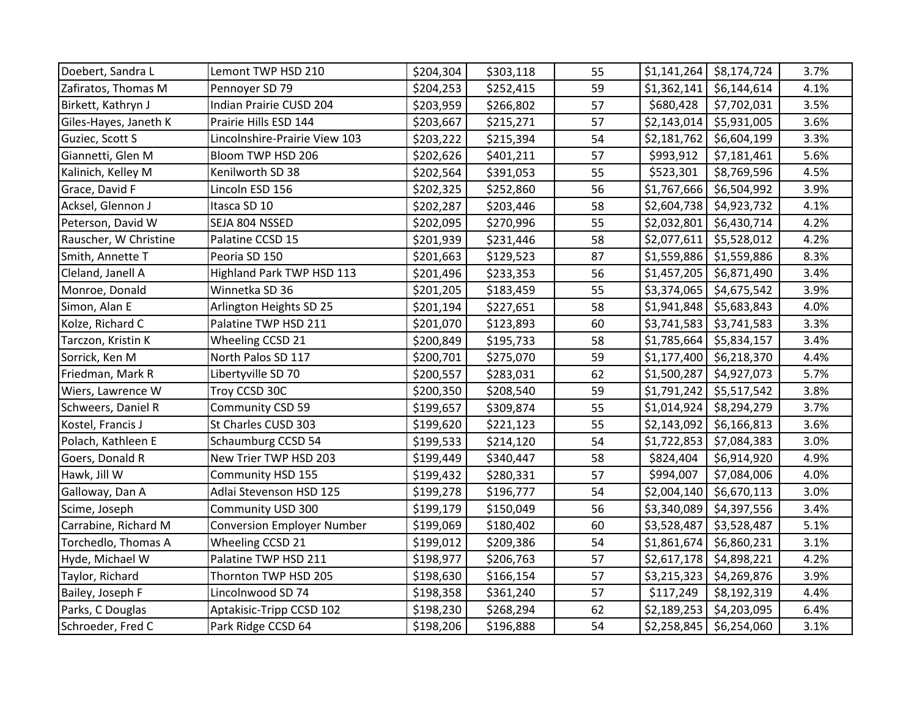| Doebert, Sandra L     | Lemont TWP HSD 210                | \$204,304 | \$303,118 | 55 | \$1,141,264 | \$8,174,724 | 3.7% |
|-----------------------|-----------------------------------|-----------|-----------|----|-------------|-------------|------|
| Zafiratos, Thomas M   | Pennoyer SD 79                    | \$204,253 | \$252,415 | 59 | \$1,362,141 | \$6,144,614 | 4.1% |
| Birkett, Kathryn J    | Indian Prairie CUSD 204           | \$203,959 | \$266,802 | 57 | \$680,428   | \$7,702,031 | 3.5% |
| Giles-Hayes, Janeth K | Prairie Hills ESD 144             | \$203,667 | \$215,271 | 57 | \$2,143,014 | \$5,931,005 | 3.6% |
| Guziec, Scott S       | Lincolnshire-Prairie View 103     | \$203,222 | \$215,394 | 54 | \$2,181,762 | \$6,604,199 | 3.3% |
| Giannetti, Glen M     | Bloom TWP HSD 206                 | \$202,626 | \$401,211 | 57 | \$993,912   | \$7,181,461 | 5.6% |
| Kalinich, Kelley M    | Kenilworth SD 38                  | \$202,564 | \$391,053 | 55 | \$523,301   | \$8,769,596 | 4.5% |
| Grace, David F        | Lincoln ESD 156                   | \$202,325 | \$252,860 | 56 | \$1,767,666 | \$6,504,992 | 3.9% |
| Acksel, Glennon J     | Itasca SD 10                      | \$202,287 | \$203,446 | 58 | \$2,604,738 | \$4,923,732 | 4.1% |
| Peterson, David W     | SEJA 804 NSSED                    | \$202,095 | \$270,996 | 55 | \$2,032,801 | \$6,430,714 | 4.2% |
| Rauscher, W Christine | Palatine CCSD 15                  | \$201,939 | \$231,446 | 58 | \$2,077,611 | \$5,528,012 | 4.2% |
| Smith, Annette T      | Peoria SD 150                     | \$201,663 | \$129,523 | 87 | \$1,559,886 | \$1,559,886 | 8.3% |
| Cleland, Janell A     | Highland Park TWP HSD 113         | \$201,496 | \$233,353 | 56 | \$1,457,205 | \$6,871,490 | 3.4% |
| Monroe, Donald        | Winnetka SD 36                    | \$201,205 | \$183,459 | 55 | \$3,374,065 | \$4,675,542 | 3.9% |
| Simon, Alan E         | Arlington Heights SD 25           | \$201,194 | \$227,651 | 58 | \$1,941,848 | \$5,683,843 | 4.0% |
| Kolze, Richard C      | Palatine TWP HSD 211              | \$201,070 | \$123,893 | 60 | \$3,741,583 | \$3,741,583 | 3.3% |
| Tarczon, Kristin K    | Wheeling CCSD 21                  | \$200,849 | \$195,733 | 58 | \$1,785,664 | \$5,834,157 | 3.4% |
| Sorrick, Ken M        | North Palos SD 117                | \$200,701 | \$275,070 | 59 | \$1,177,400 | \$6,218,370 | 4.4% |
| Friedman, Mark R      | Libertyville SD 70                | \$200,557 | \$283,031 | 62 | \$1,500,287 | \$4,927,073 | 5.7% |
| Wiers, Lawrence W     | Troy CCSD 30C                     | \$200,350 | \$208,540 | 59 | \$1,791,242 | \$5,517,542 | 3.8% |
| Schweers, Daniel R    | Community CSD 59                  | \$199,657 | \$309,874 | 55 | \$1,014,924 | \$8,294,279 | 3.7% |
| Kostel, Francis J     | St Charles CUSD 303               | \$199,620 | \$221,123 | 55 | \$2,143,092 | \$6,166,813 | 3.6% |
| Polach, Kathleen E    | Schaumburg CCSD 54                | \$199,533 | \$214,120 | 54 | \$1,722,853 | \$7,084,383 | 3.0% |
| Goers, Donald R       | New Trier TWP HSD 203             | \$199,449 | \$340,447 | 58 | \$824,404   | \$6,914,920 | 4.9% |
| Hawk, Jill W          | Community HSD 155                 | \$199,432 | \$280,331 | 57 | \$994,007   | \$7,084,006 | 4.0% |
| Galloway, Dan A       | Adlai Stevenson HSD 125           | \$199,278 | \$196,777 | 54 | \$2,004,140 | \$6,670,113 | 3.0% |
| Scime, Joseph         | Community USD 300                 | \$199,179 | \$150,049 | 56 | \$3,340,089 | \$4,397,556 | 3.4% |
| Carrabine, Richard M  | <b>Conversion Employer Number</b> | \$199,069 | \$180,402 | 60 | \$3,528,487 | \$3,528,487 | 5.1% |
| Torchedlo, Thomas A   | Wheeling CCSD 21                  | \$199,012 | \$209,386 | 54 | \$1,861,674 | \$6,860,231 | 3.1% |
| Hyde, Michael W       | Palatine TWP HSD 211              | \$198,977 | \$206,763 | 57 | \$2,617,178 | \$4,898,221 | 4.2% |
| Taylor, Richard       | Thornton TWP HSD 205              | \$198,630 | \$166,154 | 57 | \$3,215,323 | \$4,269,876 | 3.9% |
| Bailey, Joseph F      | Lincolnwood SD 74                 | \$198,358 | \$361,240 | 57 | \$117,249   | \$8,192,319 | 4.4% |
| Parks, C Douglas      | Aptakisic-Tripp CCSD 102          | \$198,230 | \$268,294 | 62 | \$2,189,253 | \$4,203,095 | 6.4% |
| Schroeder, Fred C     | Park Ridge CCSD 64                | \$198,206 | \$196,888 | 54 | \$2,258,845 | \$6,254,060 | 3.1% |